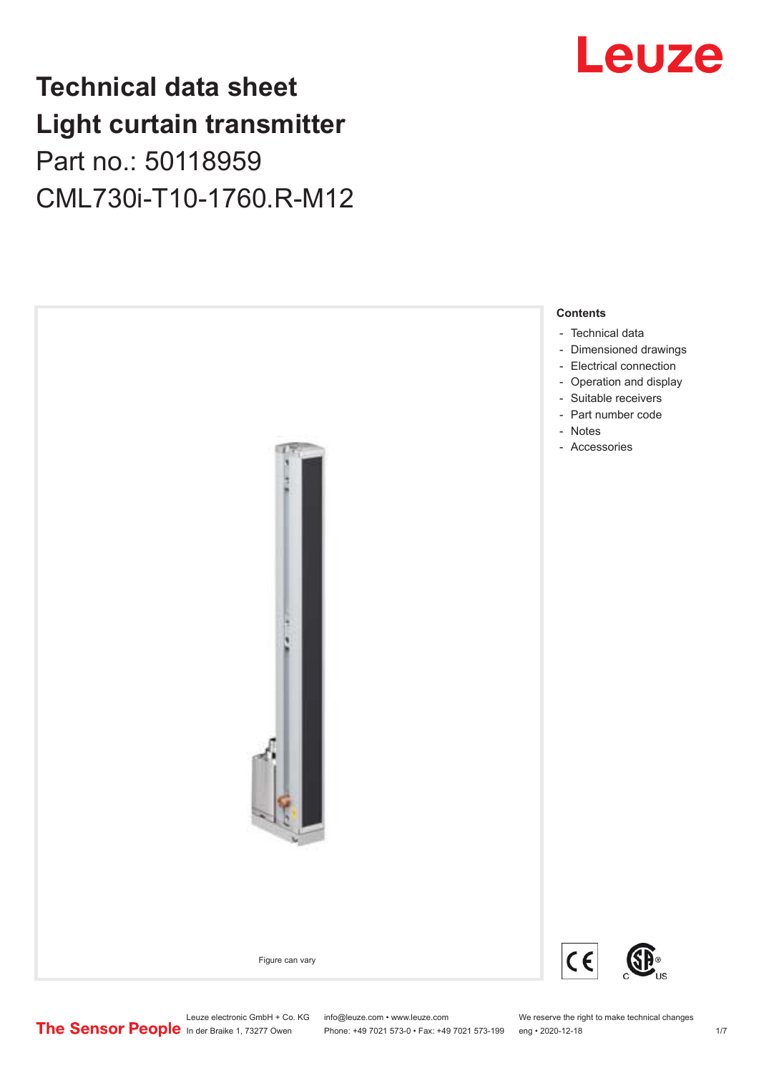## **Technical data sheet Light curtain transmitter** Part no.: 50118959 CML730i-T10-1760.R-M12





Leuze electronic GmbH + Co. KG info@leuze.com • www.leuze.com We reserve the right to make technical changes<br>
The Sensor People in der Braike 1, 73277 Owen Phone: +49 7021 573-0 • Fax: +49 7021 573-199 eng • 2020-12-18

Phone: +49 7021 573-0 • Fax: +49 7021 573-199 eng • 2020-12-18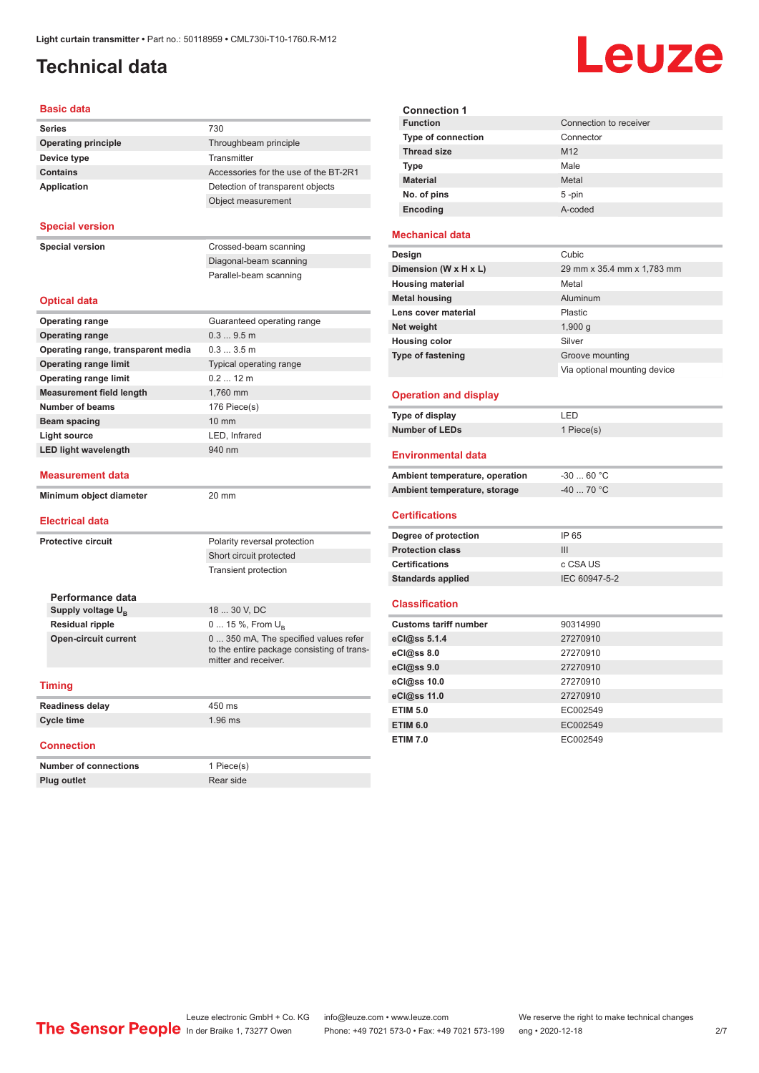## <span id="page-1-0"></span>**Technical data**

# Leuze

| <b>Basic data</b>          |                                       |
|----------------------------|---------------------------------------|
| <b>Series</b>              | 730                                   |
| <b>Operating principle</b> | Throughbeam principle                 |
| Device type                | Transmitter                           |
| <b>Contains</b>            | Accessories for the use of the BT-2R1 |

| Application | Detection of transparent objects |
|-------------|----------------------------------|
|             | Object measurement               |
|             |                                  |

### **Special version**

**Special version** Crossed-beam scanning

| Diagonal-beam scanning |  |
|------------------------|--|
| Parallel-beam scanning |  |

### **Optical data**

| <b>Operating range</b>             | Guaranteed operating range                                                                                 |
|------------------------------------|------------------------------------------------------------------------------------------------------------|
| <b>Operating range</b>             | 0.39.5m                                                                                                    |
| Operating range, transparent media | $0.33.5$ m                                                                                                 |
| <b>Operating range limit</b>       | Typical operating range                                                                                    |
| <b>Operating range limit</b>       | $0.212 \text{ m}$                                                                                          |
| <b>Measurement field length</b>    | 1.760 mm                                                                                                   |
| Number of beams                    | 176 Piece(s)                                                                                               |
| Beam spacing                       | $10 \text{ mm}$                                                                                            |
| <b>Light source</b>                | LED, Infrared                                                                                              |
| <b>LED light wavelength</b>        | 940 nm                                                                                                     |
| <b>Measurement data</b>            |                                                                                                            |
| Minimum object diameter            | 20 mm                                                                                                      |
| <b>Electrical data</b>             |                                                                                                            |
| Protective circuit                 | Polarity reversal protection                                                                               |
|                                    | Short circuit protected                                                                                    |
|                                    | <b>Transient protection</b>                                                                                |
| Performance data                   |                                                                                                            |
| Supply voltage U <sub>B</sub>      | 18  30 V, DC                                                                                               |
| <b>Residual ripple</b>             | $0 15 \%$ , From $U_{\rm B}$                                                                               |
| <b>Open-circuit current</b>        | 0  350 mA, The specified values refer<br>to the entire package consisting of trans-<br>mitter and receiver |

#### **Timing**

| <b>Readiness delay</b> | 450 ms    |
|------------------------|-----------|
| Cycle time             | $1.96$ ms |

### **Connection**

| <b>Number of connections</b> | 1 Piece(s) |
|------------------------------|------------|
| <b>Plug outlet</b>           | Rear side  |

| <b>Connection 1</b>       |                        |
|---------------------------|------------------------|
| <b>Function</b>           | Connection to receiver |
| <b>Type of connection</b> | Connector              |
| <b>Thread size</b>        | M <sub>12</sub>        |
| <b>Type</b>               | Male                   |
| <b>Material</b>           | Metal                  |
| No. of pins               | $5 - pin$              |
| Encoding                  | A-coded                |
|                           |                        |

### **Mechanical data**

| Design                   | Cubic                        |
|--------------------------|------------------------------|
| Dimension (W x H x L)    | 29 mm x 35.4 mm x 1,783 mm   |
| <b>Housing material</b>  | Metal                        |
| <b>Metal housing</b>     | Aluminum                     |
| Lens cover material      | Plastic                      |
| Net weight               | 1,900 $q$                    |
| <b>Housing color</b>     | Silver                       |
| <b>Type of fastening</b> | Groove mounting              |
|                          | Via optional mounting device |
|                          |                              |

### **Operation and display**

| Type of display | I FD.      |
|-----------------|------------|
| Number of LEDs  | 1 Piece(s) |

### **Environmental data**

| Ambient temperature, operation | -30  60 °C |
|--------------------------------|------------|
| Ambient temperature, storage   | -40  70 °C |

#### **Certifications**

| Degree of protection     | IP 65         |
|--------------------------|---------------|
| <b>Protection class</b>  | Ш             |
| <b>Certifications</b>    | c CSA US      |
| <b>Standards applied</b> | IEC 60947-5-2 |

### **Classification**

| <b>Customs tariff number</b> | 90314990 |
|------------------------------|----------|
| eCl@ss 5.1.4                 | 27270910 |
| eCl@ss 8.0                   | 27270910 |
| $eC$ <sub>l</sub> $@ss$ 9.0  | 27270910 |
| eCl@ss 10.0                  | 27270910 |
| eCl@ss 11.0                  | 27270910 |
| <b>ETIM 5.0</b>              | EC002549 |
| <b>ETIM 6.0</b>              | EC002549 |
| <b>ETIM 7.0</b>              | EC002549 |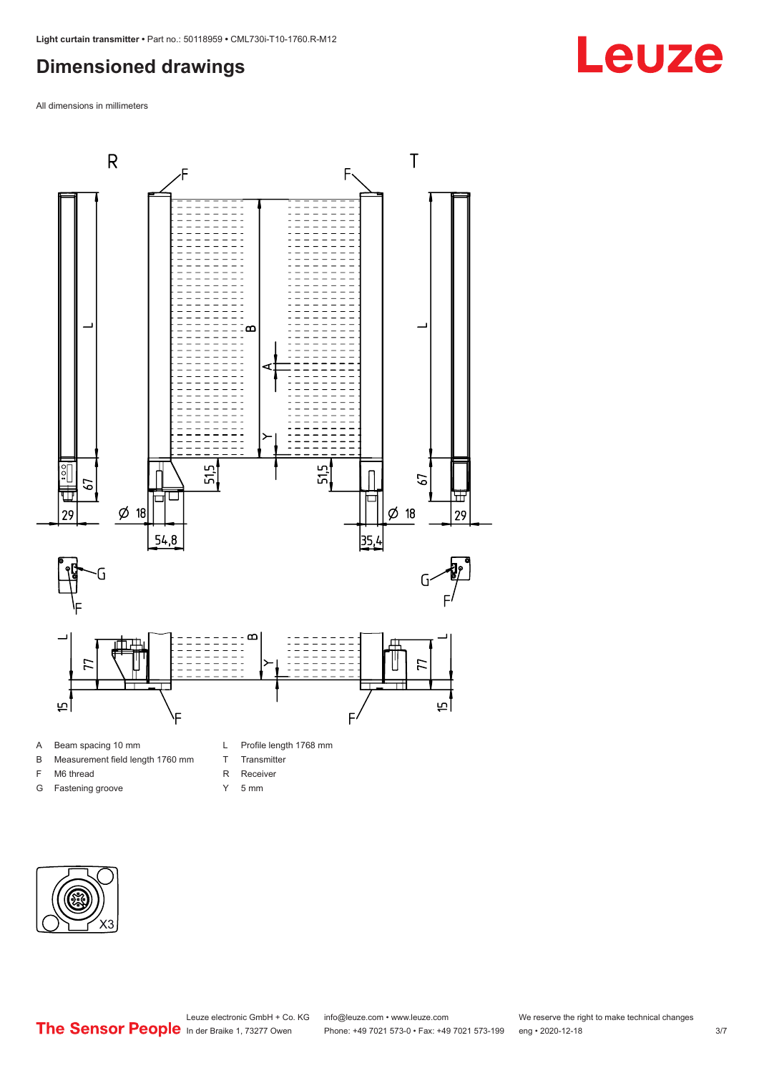## <span id="page-2-0"></span>**Dimensioned drawings**

All dimensions in millimeters



- A Beam spacing 10 mm
- B Measurement field length 1760 mm
- F M6 thread
- G Fastening groove
- 
- T Transmitter
- R Receiver
- Y 5 mm



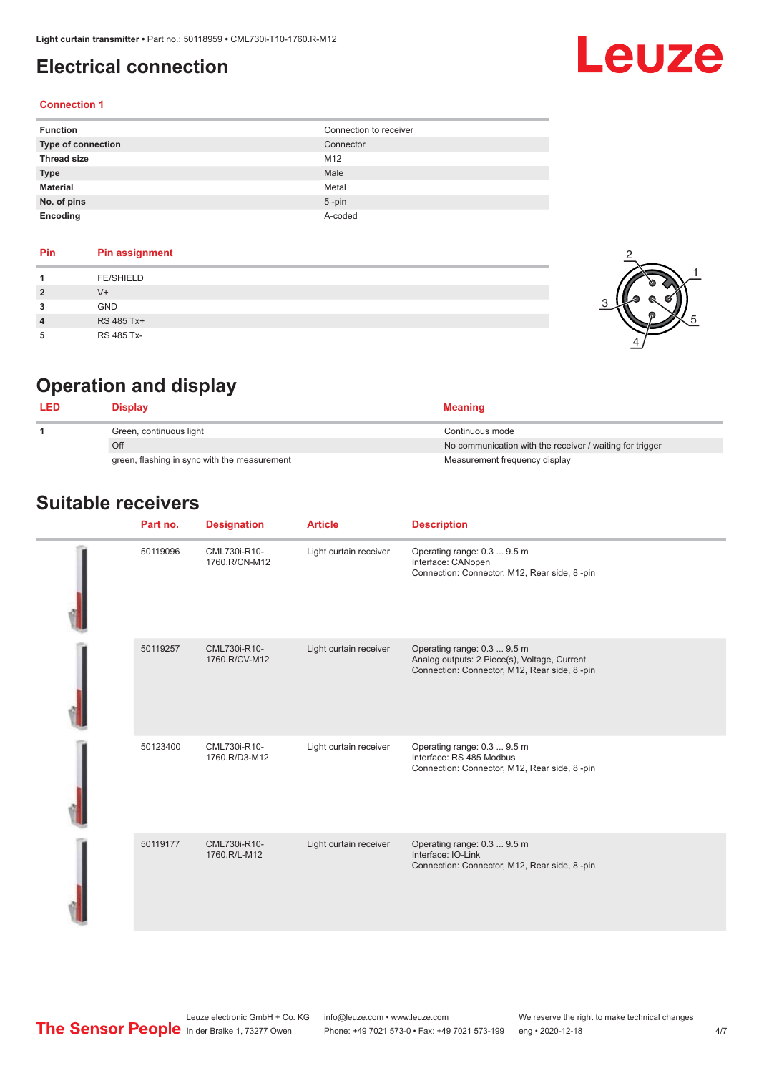## <span id="page-3-0"></span>**Electrical connection**

# Leuze

### **Connection 1**

| <b>Function</b>    | Connection to receiver |
|--------------------|------------------------|
| Type of connection | Connector              |
| <b>Thread size</b> | M12                    |
| <b>Type</b>        | Male                   |
| <b>Material</b>    | Metal                  |
| No. of pins        | $5 - pin$              |
| Encoding           | A-coded                |

### **Pin Pin assignment 1** FE/SHIELD **2** V+ **3** GND **4** RS 485 Tx+ **5** RS 485 Tx-



## **Operation and display**

| Display                                      | <b>Meaning</b>                                           |
|----------------------------------------------|----------------------------------------------------------|
| Green, continuous light                      | Continuous mode                                          |
| Off                                          | No communication with the receiver / waiting for trigger |
| green, flashing in sync with the measurement | Measurement frequency display                            |

## **Suitable receivers**

| Part no. | <b>Designation</b>            | <b>Article</b>         | <b>Description</b>                                                                                                          |
|----------|-------------------------------|------------------------|-----------------------------------------------------------------------------------------------------------------------------|
| 50119096 | CML730i-R10-<br>1760.R/CN-M12 | Light curtain receiver | Operating range: 0.3  9.5 m<br>Interface: CANopen<br>Connection: Connector, M12, Rear side, 8-pin                           |
| 50119257 | CML730i-R10-<br>1760.R/CV-M12 | Light curtain receiver | Operating range: 0.3  9.5 m<br>Analog outputs: 2 Piece(s), Voltage, Current<br>Connection: Connector, M12, Rear side, 8-pin |
| 50123400 | CML730i-R10-<br>1760.R/D3-M12 | Light curtain receiver | Operating range: 0.3  9.5 m<br>Interface: RS 485 Modbus<br>Connection: Connector, M12, Rear side, 8-pin                     |
| 50119177 | CML730i-R10-<br>1760.R/L-M12  | Light curtain receiver | Operating range: 0.3  9.5 m<br>Interface: IO-Link<br>Connection: Connector, M12, Rear side, 8-pin                           |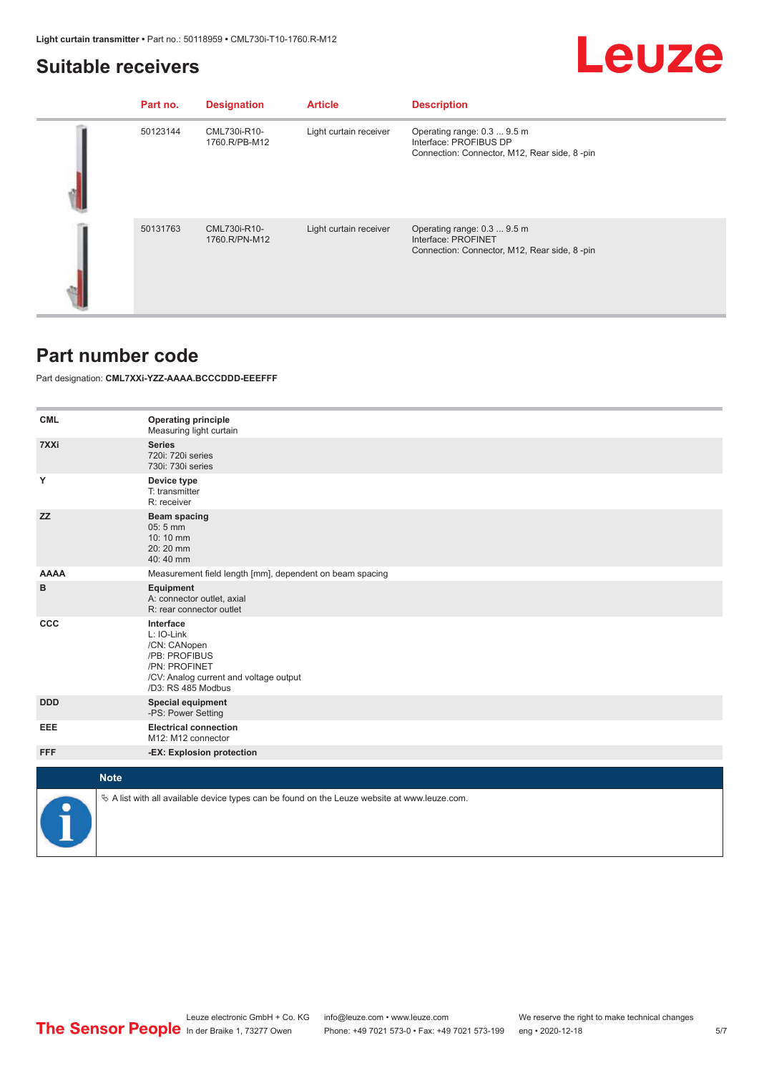## <span id="page-4-0"></span>**Suitable receivers**

# Leuze

| Part no. | <b>Designation</b>            | <b>Article</b>         | <b>Description</b>                                                                                    |
|----------|-------------------------------|------------------------|-------------------------------------------------------------------------------------------------------|
| 50123144 | CML730i-R10-<br>1760.R/PB-M12 | Light curtain receiver | Operating range: 0.3  9.5 m<br>Interface: PROFIBUS DP<br>Connection: Connector, M12, Rear side, 8-pin |
| 50131763 | CML730i-R10-<br>1760.R/PN-M12 | Light curtain receiver | Operating range: 0.3  9.5 m<br>Interface: PROFINET<br>Connection: Connector, M12, Rear side, 8-pin    |

### **Part number code**

Part designation: **CML7XXi-YZZ-AAAA.BCCCDDD-EEEFFF**

| <b>CML</b>  | <b>Operating principle</b><br>Measuring light curtain                                                                                     |
|-------------|-------------------------------------------------------------------------------------------------------------------------------------------|
| 7XXi        | <b>Series</b><br>720i: 720i series<br>730i: 730i series                                                                                   |
| Υ           | Device type<br>T: transmitter<br>R: receiver                                                                                              |
| <b>ZZ</b>   | Beam spacing<br>$05:5$ mm<br>10:10 mm<br>20:20 mm<br>40:40 mm                                                                             |
| <b>AAAA</b> | Measurement field length [mm], dependent on beam spacing                                                                                  |
| в           | Equipment<br>A: connector outlet, axial<br>R: rear connector outlet                                                                       |
| <b>CCC</b>  | Interface<br>L: IO-Link<br>/CN: CANopen<br>/PB: PROFIBUS<br>/PN: PROFINET<br>/CV: Analog current and voltage output<br>/D3: RS 485 Modbus |
| <b>DDD</b>  | <b>Special equipment</b><br>-PS: Power Setting                                                                                            |
| EEE         | <b>Electrical connection</b><br>M12: M12 connector                                                                                        |
| <b>FFF</b>  | -EX: Explosion protection                                                                                                                 |
| <b>Note</b> |                                                                                                                                           |
|             |                                                                                                                                           |
|             | $\&$ A list with all available device types can be found on the Leuze website at www.leuze.com.                                           |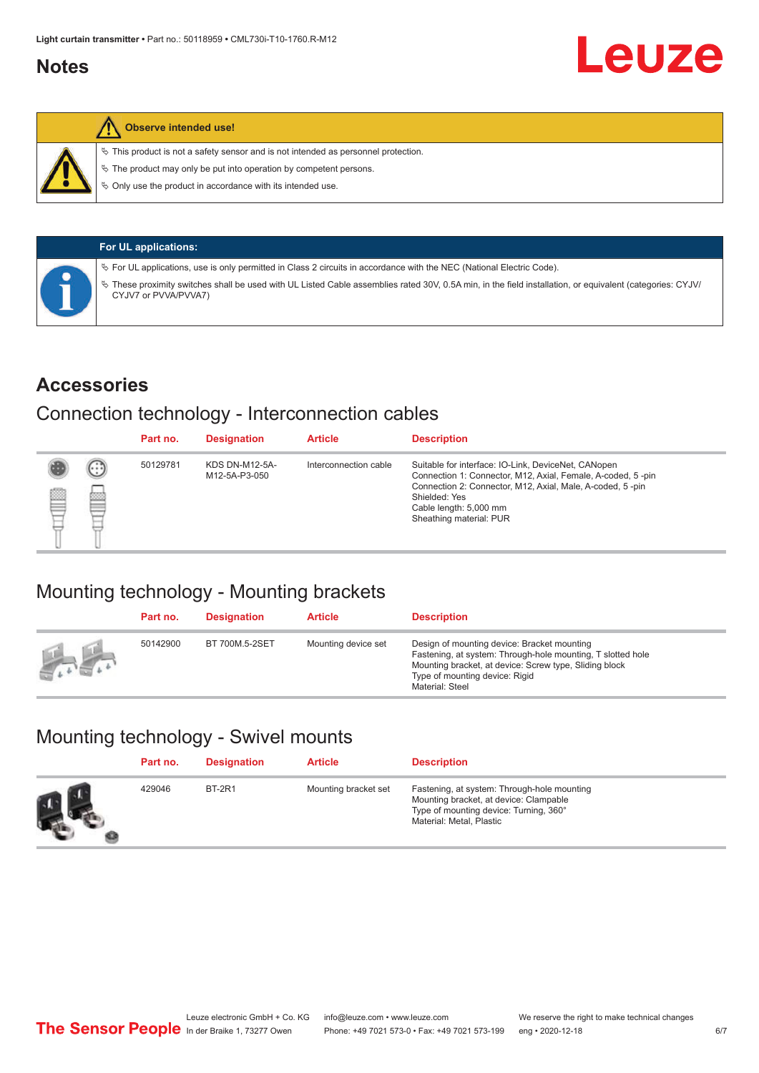## <span id="page-5-0"></span>**Notes**



### **Observe intended use!**

 $\%$  This product is not a safety sensor and is not intended as personnel protection.

 $\%$  The product may only be put into operation by competent persons.

 $\%$  Only use the product in accordance with its intended use.

| <b>For UL applications:</b>                                                                                                                                                     |
|---------------------------------------------------------------------------------------------------------------------------------------------------------------------------------|
| $\%$ For UL applications, use is only permitted in Class 2 circuits in accordance with the NEC (National Electric Code).                                                        |
| These proximity switches shall be used with UL Listed Cable assemblies rated 30V, 0.5A min, in the field installation, or equivalent (categories: CYJV/<br>CYJV7 or PVVA/PVVA7) |

### **Accessories**

### Connection technology - Interconnection cables

|   |        | Part no. | <b>Designation</b>                     | <b>Article</b>        | <b>Description</b>                                                                                                                                                                                                                                    |
|---|--------|----------|----------------------------------------|-----------------------|-------------------------------------------------------------------------------------------------------------------------------------------------------------------------------------------------------------------------------------------------------|
| 國 | ⊕<br>œ | 50129781 | <b>KDS DN-M12-5A-</b><br>M12-5A-P3-050 | Interconnection cable | Suitable for interface: IO-Link, DeviceNet, CANopen<br>Connection 1: Connector, M12, Axial, Female, A-coded, 5-pin<br>Connection 2: Connector, M12, Axial, Male, A-coded, 5-pin<br>Shielded: Yes<br>Cable length: 5,000 mm<br>Sheathing material: PUR |

## Mounting technology - Mounting brackets

|               | Part no. | <b>Designation</b> | <b>Article</b>      | <b>Description</b>                                                                                                                                                                                                        |
|---------------|----------|--------------------|---------------------|---------------------------------------------------------------------------------------------------------------------------------------------------------------------------------------------------------------------------|
| <b>Altres</b> | 50142900 | BT 700M.5-2SET     | Mounting device set | Design of mounting device: Bracket mounting<br>Fastening, at system: Through-hole mounting, T slotted hole<br>Mounting bracket, at device: Screw type, Sliding block<br>Type of mounting device: Rigid<br>Material: Steel |

## Mounting technology - Swivel mounts

| Part no. | <b>Designation</b> | <b>Article</b>       | <b>Description</b>                                                                                                                                          |
|----------|--------------------|----------------------|-------------------------------------------------------------------------------------------------------------------------------------------------------------|
| 429046   | <b>BT-2R1</b>      | Mounting bracket set | Fastening, at system: Through-hole mounting<br>Mounting bracket, at device: Clampable<br>Type of mounting device: Turning, 360°<br>Material: Metal, Plastic |

Leuze